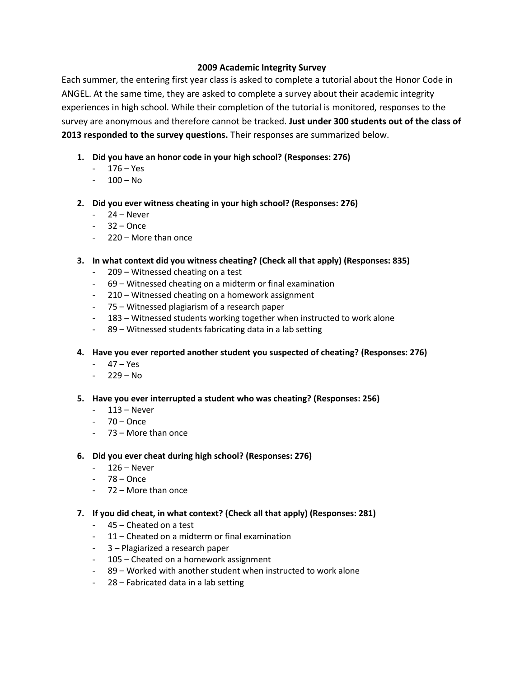# **2009 Academic Integrity Survey**

Each summer, the entering first year class is asked to complete a tutorial about the Honor Code in ANGEL. At the same time, they are asked to complete a survey about their academic integrity experiences in high school. While their completion of the tutorial is monitored, responses to the survey are anonymous and therefore cannot be tracked. **Just under 300 students out of the class of 2013 responded to the survey questions.** Their responses are summarized below.

- **1. Did you have an honor code in your high school? (Responses: 276)**
	- 176 Yes
	- $-100 No$
- **2. Did you ever witness cheating in your high school? (Responses: 276)**
	- 24 Never
	- $-32 -$ Once
	- 220 More than once
- **3. In what context did you witness cheating? (Check all that apply) (Responses: 835)**
	- 209 Witnessed cheating on a test
	- 69 Witnessed cheating on a midterm or final examination
	- 210 Witnessed cheating on a homework assignment
	- 75 Witnessed plagiarism of a research paper
	- 183 Witnessed students working together when instructed to work alone
	- 89 Witnessed students fabricating data in a lab setting

**4. Have you ever reported another student you suspected of cheating? (Responses: 276)**

- 47 Yes
- $-229 No$
- **5. Have you ever interrupted a student who was cheating? (Responses: 256)**
	- 113 Never
	- $-70 0$ nce
	- 73 More than once

## **6. Did you ever cheat during high school? (Responses: 276)**

- 126 Never
- $-78 -$ Once
- 72 More than once
- **7. If you did cheat, in what context? (Check all that apply) (Responses: 281)**
	- 45 Cheated on a test
	- 11 Cheated on a midterm or final examination
	- 3 Plagiarized a research paper
	- 105 Cheated on a homework assignment
	- 89 Worked with another student when instructed to work alone
	- 28 Fabricated data in a lab setting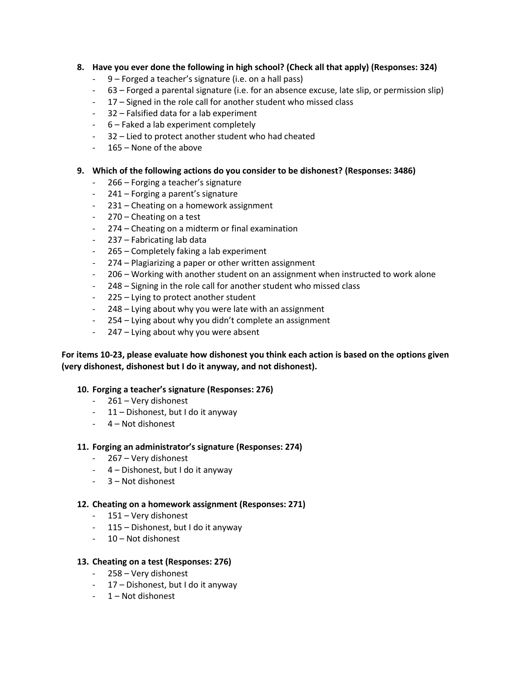# **8. Have you ever done the following in high school? (Check all that apply) (Responses: 324)**

- 9 Forged a teacher's signature (i.e. on a hall pass)
- 63 Forged a parental signature (i.e. for an absence excuse, late slip, or permission slip)
- 17 Signed in the role call for another student who missed class
- 32 Falsified data for a lab experiment
- 6 Faked a lab experiment completely
- 32 Lied to protect another student who had cheated
- 165 None of the above

## **9. Which of the following actions do you consider to be dishonest? (Responses: 3486)**

- 266 Forging a teacher's signature
- 241 Forging a parent's signature
- 231 Cheating on a homework assignment
- 270 Cheating on a test
- 274 Cheating on a midterm or final examination
- 237 Fabricating lab data
- 265 Completely faking a lab experiment
- 274 Plagiarizing a paper or other written assignment
- 206 Working with another student on an assignment when instructed to work alone
- 248 Signing in the role call for another student who missed class
- $225 -$  Lying to protect another student
- 248 Lying about why you were late with an assignment
- 254 Lying about why you didn't complete an assignment
- 247 Lying about why you were absent

# **For items 10-23, please evaluate how dishonest you think each action is based on the options given (very dishonest, dishonest but I do it anyway, and not dishonest).**

## **10. Forging a teacher's signature (Responses: 276)**

- 261 Very dishonest
- 11 Dishonest, but I do it anyway
- 4 Not dishonest

## **11. Forging an administrator's signature (Responses: 274)**

- 267 Very dishonest
- 4 Dishonest, but I do it anyway
- 3 Not dishonest

## **12. Cheating on a homework assignment (Responses: 271)**

- 151 Very dishonest
- 115 Dishonest, but I do it anyway
- 10 Not dishonest

## **13. Cheating on a test (Responses: 276)**

- 258 Very dishonest
- 17 Dishonest, but I do it anyway
- 1 Not dishonest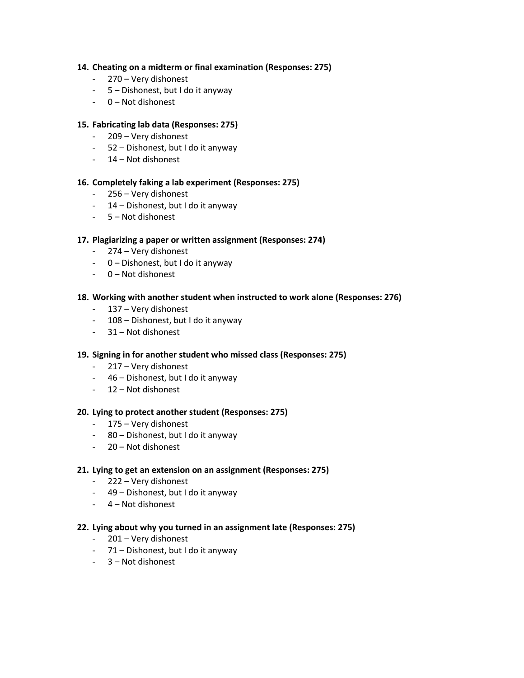## **14. Cheating on a midterm or final examination (Responses: 275)**

- 270 Very dishonest
- 5 Dishonest, but I do it anyway
- 0 Not dishonest

### **15. Fabricating lab data (Responses: 275)**

- 209 Very dishonest
- 52 Dishonest, but I do it anyway
- 14 Not dishonest

### **16. Completely faking a lab experiment (Responses: 275)**

- 256 Very dishonest
- 14 Dishonest, but I do it anyway
- 5 Not dishonest

### **17. Plagiarizing a paper or written assignment (Responses: 274)**

- 274 Very dishonest
- 0 Dishonest, but I do it anyway
- 0 Not dishonest

### **18. Working with another student when instructed to work alone (Responses: 276)**

- 137 Very dishonest
- 108 Dishonest, but I do it anyway
- 31 Not dishonest

### **19. Signing in for another student who missed class (Responses: 275)**

- 217 Very dishonest
- 46 Dishonest, but I do it anyway
- 12 Not dishonest

### **20. Lying to protect another student (Responses: 275)**

- 175 Very dishonest
- 80 Dishonest, but I do it anyway
- 20 Not dishonest

### **21. Lying to get an extension on an assignment (Responses: 275)**

- 222 Very dishonest
- 49 Dishonest, but I do it anyway
- 4 Not dishonest

### **22. Lying about why you turned in an assignment late (Responses: 275)**

- 201 Very dishonest
- 71 Dishonest, but I do it anyway
- 3 Not dishonest